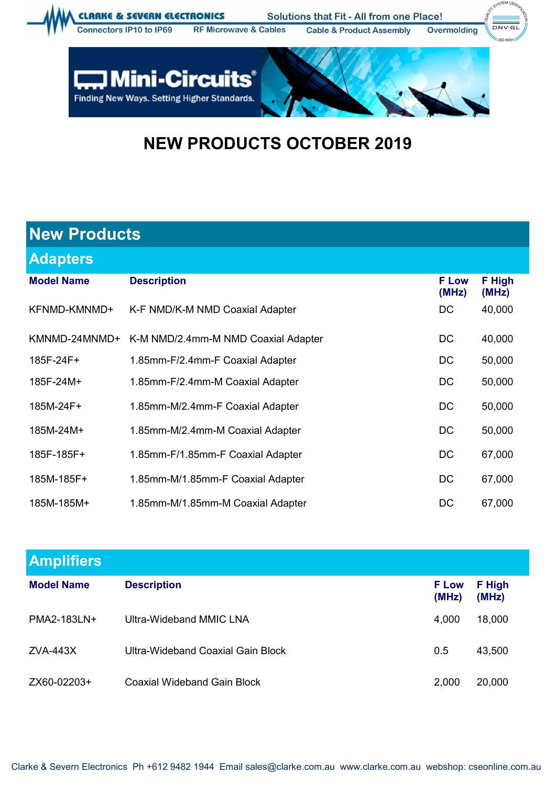

**Mini-Circuits®** Finding New Ways. Setting Higher Standards.

Ľ

## **NEW PRODUCTS OCTOBER 2019**

| <b>New Products</b> |                                     |                       |                 |  |  |  |
|---------------------|-------------------------------------|-----------------------|-----------------|--|--|--|
| <b>Adapters</b>     |                                     |                       |                 |  |  |  |
| <b>Model Name</b>   | <b>Description</b>                  | <b>F</b> Low<br>(MHz) | F High<br>(MHz) |  |  |  |
| KFNMD-KMNMD+        | K-F NMD/K-M NMD Coaxial Adapter     | DC                    | 40,000          |  |  |  |
| KMNMD-24MNMD+       | K-M NMD/2.4mm-M NMD Coaxial Adapter | DC                    | 40,000          |  |  |  |
| 185F-24F+           | 1.85mm-F/2.4mm-F Coaxial Adapter    | DC                    | 50,000          |  |  |  |
| 185F-24M+           | 1.85mm-F/2.4mm-M Coaxial Adapter    | DC                    | 50,000          |  |  |  |
| 185M-24F+           | 1.85mm-M/2.4mm-F Coaxial Adapter    | DC                    | 50,000          |  |  |  |
| 185M-24M+           | 1.85mm-M/2.4mm-M Coaxial Adapter    | DC                    | 50,000          |  |  |  |
| 185F-185F+          | 1.85mm-F/1.85mm-F Coaxial Adapter   | DC                    | 67,000          |  |  |  |
| 185M-185F+          | 1.85mm-M/1.85mm-F Coaxial Adapter   | DC                    | 67,000          |  |  |  |
| 185M-185M+          | 1.85mm-M/1.85mm-M Coaxial Adapter   | DC                    | 67,000          |  |  |  |

| <b>Amplifiers</b> |                                   |                       |                 |
|-------------------|-----------------------------------|-----------------------|-----------------|
| <b>Model Name</b> | <b>Description</b>                | <b>F</b> Low<br>(MHz) | F High<br>(MHz) |
| PMA2-183LN+       | Ultra-Wideband MMIC LNA           | 4,000                 | 18,000          |
| ZVA-443X          | Ultra-Wideband Coaxial Gain Block | 0.5                   | 43,500          |
| ZX60-02203+       | Coaxial Wideband Gain Block       | 2,000                 | 20,000          |